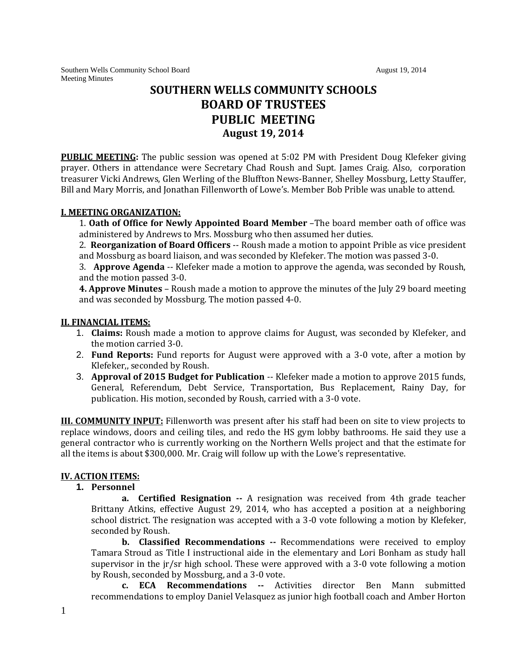Southern Wells Community School Board August 19, 2014 August 19, 2014 Meeting Minutes

# **SOUTHERN WELLS COMMUNITY SCHOOLS BOARD OF TRUSTEES PUBLIC MEETING August 19, 2014**

**PUBLIC MEETING:** The public session was opened at 5:02 PM with President Doug Klefeker giving prayer. Others in attendance were Secretary Chad Roush and Supt. James Craig. Also, corporation treasurer Vicki Andrews, Glen Werling of the Bluffton News-Banner, Shelley Mossburg, Letty Stauffer, Bill and Mary Morris, and Jonathan Fillenworth of Lowe's. Member Bob Prible was unable to attend.

## **I. MEETING ORGANIZATION:**

1. **Oath of Office for Newly Appointed Board Member** –The board member oath of office was administered by Andrews to Mrs. Mossburg who then assumed her duties.

2. **Reorganization of Board Officers** -- Roush made a motion to appoint Prible as vice president and Mossburg as board liaison, and was seconded by Klefeker. The motion was passed 3-0.

3. **Approve Agenda** -- Klefeker made a motion to approve the agenda, was seconded by Roush, and the motion passed 3-0.

**4. Approve Minutes** – Roush made a motion to approve the minutes of the July 29 board meeting and was seconded by Mossburg. The motion passed 4-0.

#### **II. FINANCIAL ITEMS:**

- 1. **Claims:** Roush made a motion to approve claims for August, was seconded by Klefeker, and the motion carried 3-0.
- 2. **Fund Reports:** Fund reports for August were approved with a 3-0 vote, after a motion by Klefeker,, seconded by Roush.
- 3. **Approval of 2015 Budget for Publication** -- Klefeker made a motion to approve 2015 funds, General, Referendum, Debt Service, Transportation, Bus Replacement, Rainy Day, for publication. His motion, seconded by Roush, carried with a 3-0 vote.

**III. COMMUNITY INPUT:** Fillenworth was present after his staff had been on site to view projects to replace windows, doors and ceiling tiles, and redo the HS gym lobby bathrooms. He said they use a general contractor who is currently working on the Northern Wells project and that the estimate for all the items is about \$300,000. Mr. Craig will follow up with the Lowe's representative.

# **IV. ACTION ITEMS:**

### **1. Personnel**

**a. Certified Resignation --** A resignation was received from 4th grade teacher Brittany Atkins, effective August 29, 2014, who has accepted a position at a neighboring school district. The resignation was accepted with a 3-0 vote following a motion by Klefeker, seconded by Roush.

**b. Classified Recommendations --** Recommendations were received to employ Tamara Stroud as Title I instructional aide in the elementary and Lori Bonham as study hall supervisor in the jr/sr high school. These were approved with a 3-0 vote following a motion by Roush, seconded by Mossburg, and a 3-0 vote.

**c. ECA Recommendations --** Activities director Ben Mann submitted recommendations to employ Daniel Velasquez as junior high football coach and Amber Horton